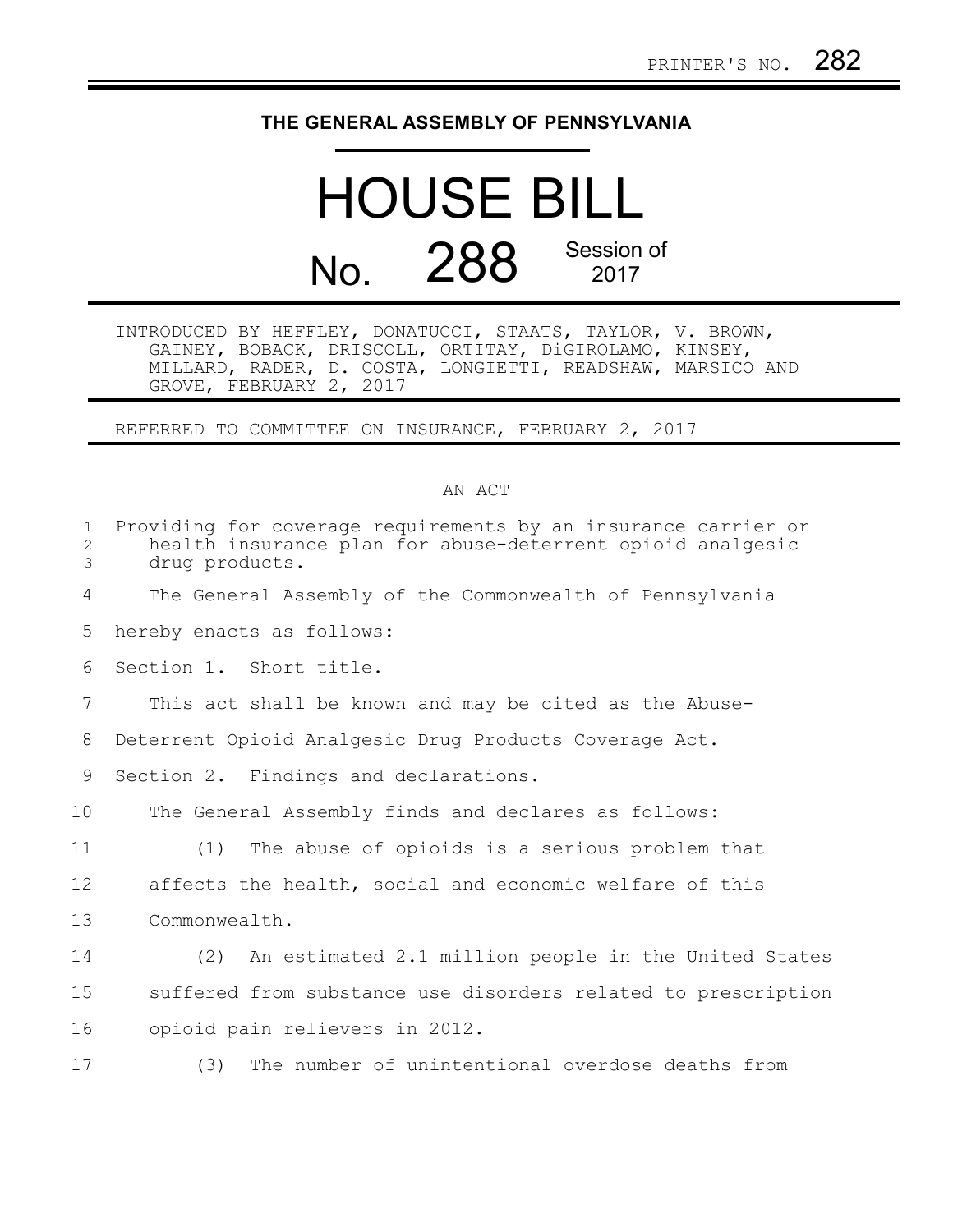## **THE GENERAL ASSEMBLY OF PENNSYLVANIA**

## HOUSE BILL No. 288 Session of 2017

INTRODUCED BY HEFFLEY, DONATUCCI, STAATS, TAYLOR, V. BROWN, GAINEY, BOBACK, DRISCOLL, ORTITAY, DiGIROLAMO, KINSEY, MILLARD, RADER, D. COSTA, LONGIETTI, READSHAW, MARSICO AND GROVE, FEBRUARY 2, 2017

REFERRED TO COMMITTEE ON INSURANCE, FEBRUARY 2, 2017

## AN ACT

| $\mathbf{1}$<br>2<br>3 | Providing for coverage requirements by an insurance carrier or<br>health insurance plan for abuse-deterrent opioid analgesic<br>drug products. |
|------------------------|------------------------------------------------------------------------------------------------------------------------------------------------|
| 4                      | The General Assembly of the Commonwealth of Pennsylvania                                                                                       |
| 5                      | hereby enacts as follows:                                                                                                                      |
| 6                      | Section 1. Short title.                                                                                                                        |
| 7                      | This act shall be known and may be cited as the Abuse-                                                                                         |
| 8                      | Deterrent Opioid Analgesic Drug Products Coverage Act.                                                                                         |
| 9                      | Section 2. Findings and declarations.                                                                                                          |
| 10                     | The General Assembly finds and declares as follows:                                                                                            |
| 11                     | The abuse of opioids is a serious problem that<br>(1)                                                                                          |
| 12                     | affects the health, social and economic welfare of this                                                                                        |
| 13                     | Commonwealth.                                                                                                                                  |
| 14                     | (2) An estimated 2.1 million people in the United States                                                                                       |
| 15                     | suffered from substance use disorders related to prescription                                                                                  |
| 16                     | opioid pain relievers in 2012.                                                                                                                 |
| 17                     | The number of unintentional overdose deaths from<br>(3)                                                                                        |
|                        |                                                                                                                                                |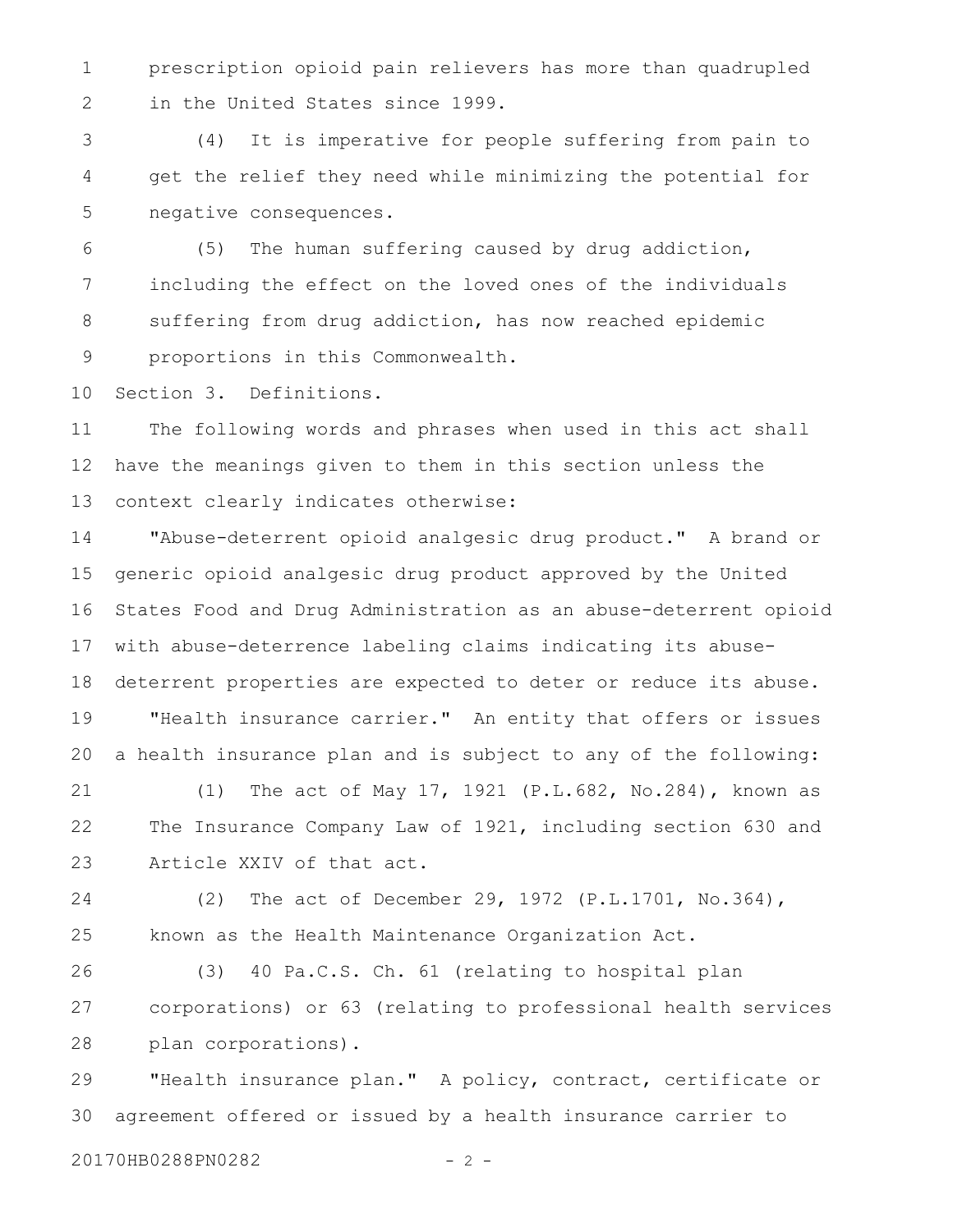prescription opioid pain relievers has more than quadrupled in the United States since 1999. 1 2

(4) It is imperative for people suffering from pain to get the relief they need while minimizing the potential for negative consequences. 3 4 5

(5) The human suffering caused by drug addiction, including the effect on the loved ones of the individuals suffering from drug addiction, has now reached epidemic proportions in this Commonwealth. 6 7 8 9

Section 3. Definitions. 10

The following words and phrases when used in this act shall have the meanings given to them in this section unless the context clearly indicates otherwise: 11 12 13

"Abuse-deterrent opioid analgesic drug product." A brand or generic opioid analgesic drug product approved by the United States Food and Drug Administration as an abuse-deterrent opioid with abuse-deterrence labeling claims indicating its abusedeterrent properties are expected to deter or reduce its abuse. "Health insurance carrier." An entity that offers or issues a health insurance plan and is subject to any of the following: 14 15 16 17 18 19 20

(1) The act of May 17, 1921 (P.L.682, No.284), known as The Insurance Company Law of 1921, including section 630 and Article XXIV of that act. 21 22 23

(2) The act of December 29, 1972 (P.L.1701, No.364), known as the Health Maintenance Organization Act. 24 25

(3) 40 Pa.C.S. Ch. 61 (relating to hospital plan corporations) or 63 (relating to professional health services plan corporations). 26 27 28

"Health insurance plan." A policy, contract, certificate or agreement offered or issued by a health insurance carrier to 29 30

20170HB0288PN0282 - 2 -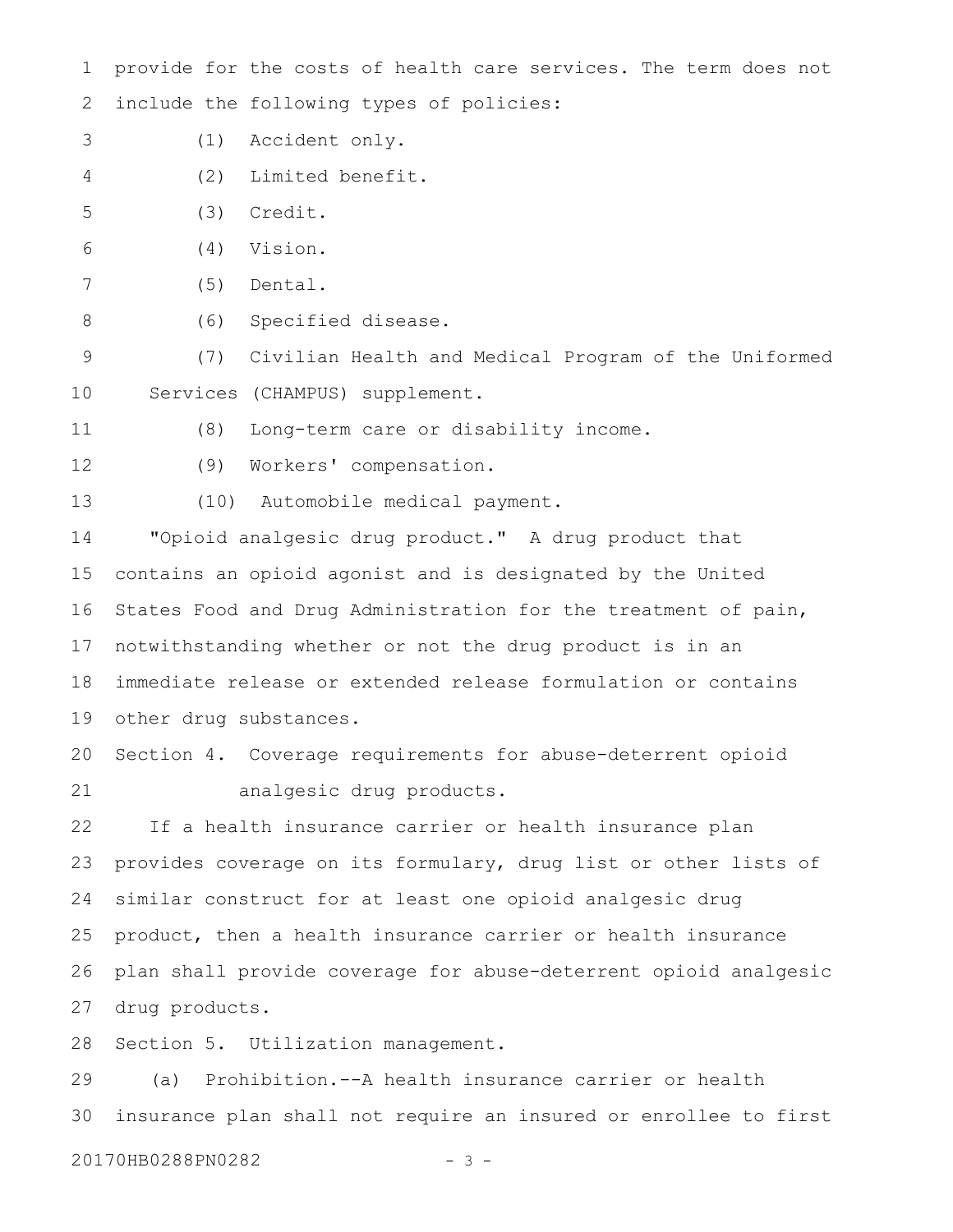provide for the costs of health care services. The term does not include the following types of policies: 1 2

- (1) Accident only. 3
- (2) Limited benefit. 4
- (3) Credit. 5
- (4) Vision. 6
- (5) Dental. 7
- (6) Specified disease. 8

(7) Civilian Health and Medical Program of the Uniformed Services (CHAMPUS) supplement. 9 10

(8) Long-term care or disability income. 11

12

(9) Workers' compensation.

(10) Automobile medical payment. 13

"Opioid analgesic drug product." A drug product that contains an opioid agonist and is designated by the United States Food and Drug Administration for the treatment of pain, notwithstanding whether or not the drug product is in an immediate release or extended release formulation or contains other drug substances. 14 15 16 17 18 19

Section 4. Coverage requirements for abuse-deterrent opioid analgesic drug products. 20 21

If a health insurance carrier or health insurance plan provides coverage on its formulary, drug list or other lists of similar construct for at least one opioid analgesic drug product, then a health insurance carrier or health insurance plan shall provide coverage for abuse-deterrent opioid analgesic drug products. 22 23 24 25 26 27

Section 5. Utilization management. 28

(a) Prohibition.--A health insurance carrier or health insurance plan shall not require an insured or enrollee to first 29 30

20170HB0288PN0282 - 3 -